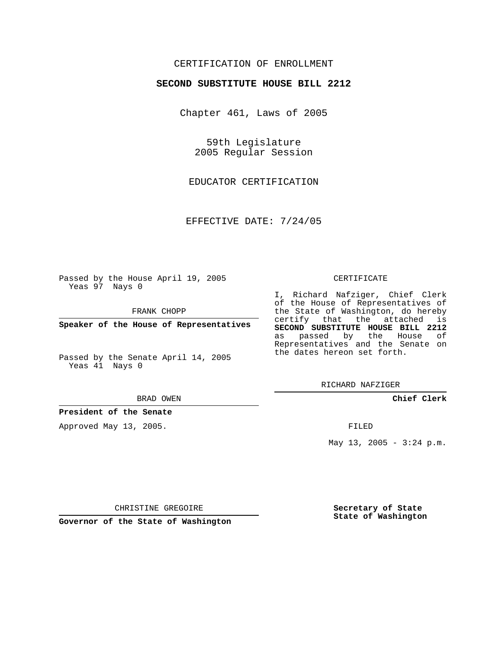## CERTIFICATION OF ENROLLMENT

## **SECOND SUBSTITUTE HOUSE BILL 2212**

Chapter 461, Laws of 2005

59th Legislature 2005 Regular Session

EDUCATOR CERTIFICATION

EFFECTIVE DATE: 7/24/05

Passed by the House April 19, 2005 Yeas 97 Nays 0

FRANK CHOPP

**Speaker of the House of Representatives**

Passed by the Senate April 14, 2005 Yeas 41 Nays 0

BRAD OWEN

**President of the Senate**

Approved May 13, 2005.

## CERTIFICATE

I, Richard Nafziger, Chief Clerk of the House of Representatives of the State of Washington, do hereby certify that the attached is **SECOND SUBSTITUTE HOUSE BILL 2212** as passed by the House of Representatives and the Senate on the dates hereon set forth.

RICHARD NAFZIGER

**Chief Clerk**

FILED

May 13, 2005 -  $3:24$  p.m.

CHRISTINE GREGOIRE

**Governor of the State of Washington**

**Secretary of State State of Washington**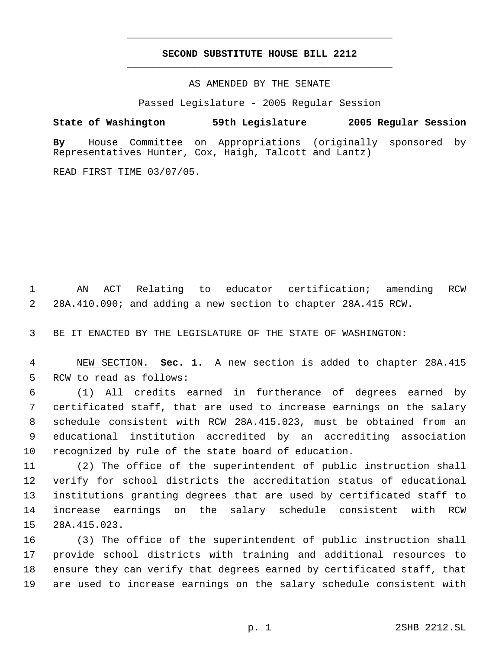## **SECOND SUBSTITUTE HOUSE BILL 2212** \_\_\_\_\_\_\_\_\_\_\_\_\_\_\_\_\_\_\_\_\_\_\_\_\_\_\_\_\_\_\_\_\_\_\_\_\_\_\_\_\_\_\_\_\_

\_\_\_\_\_\_\_\_\_\_\_\_\_\_\_\_\_\_\_\_\_\_\_\_\_\_\_\_\_\_\_\_\_\_\_\_\_\_\_\_\_\_\_\_\_

AS AMENDED BY THE SENATE

Passed Legislature - 2005 Regular Session

**State of Washington 59th Legislature 2005 Regular Session By** House Committee on Appropriations (originally sponsored by Representatives Hunter, Cox, Haigh, Talcott and Lantz)

READ FIRST TIME 03/07/05.

 AN ACT Relating to educator certification; amending RCW 28A.410.090; and adding a new section to chapter 28A.415 RCW.

BE IT ENACTED BY THE LEGISLATURE OF THE STATE OF WASHINGTON:

 NEW SECTION. **Sec. 1.** A new section is added to chapter 28A.415 RCW to read as follows:

 (1) All credits earned in furtherance of degrees earned by certificated staff, that are used to increase earnings on the salary schedule consistent with RCW 28A.415.023, must be obtained from an educational institution accredited by an accrediting association recognized by rule of the state board of education.

 (2) The office of the superintendent of public instruction shall verify for school districts the accreditation status of educational institutions granting degrees that are used by certificated staff to increase earnings on the salary schedule consistent with RCW 28A.415.023.

 (3) The office of the superintendent of public instruction shall provide school districts with training and additional resources to ensure they can verify that degrees earned by certificated staff, that are used to increase earnings on the salary schedule consistent with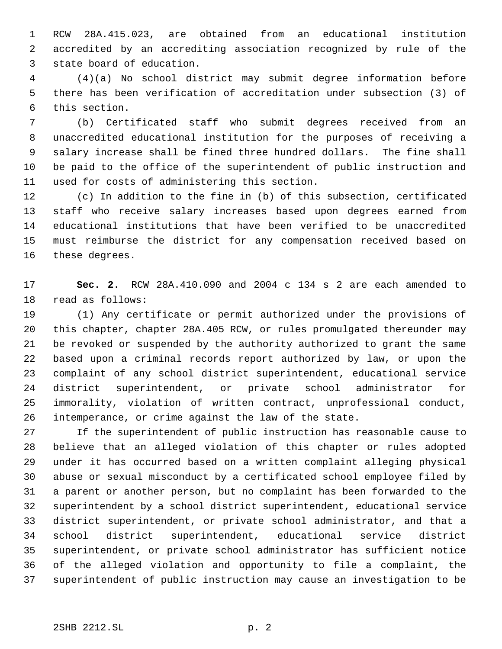RCW 28A.415.023, are obtained from an educational institution accredited by an accrediting association recognized by rule of the state board of education.

 (4)(a) No school district may submit degree information before there has been verification of accreditation under subsection (3) of this section.

 (b) Certificated staff who submit degrees received from an unaccredited educational institution for the purposes of receiving a salary increase shall be fined three hundred dollars. The fine shall be paid to the office of the superintendent of public instruction and used for costs of administering this section.

 (c) In addition to the fine in (b) of this subsection, certificated staff who receive salary increases based upon degrees earned from educational institutions that have been verified to be unaccredited must reimburse the district for any compensation received based on these degrees.

 **Sec. 2.** RCW 28A.410.090 and 2004 c 134 s 2 are each amended to read as follows:

 (1) Any certificate or permit authorized under the provisions of this chapter, chapter 28A.405 RCW, or rules promulgated thereunder may be revoked or suspended by the authority authorized to grant the same based upon a criminal records report authorized by law, or upon the complaint of any school district superintendent, educational service district superintendent, or private school administrator for immorality, violation of written contract, unprofessional conduct, intemperance, or crime against the law of the state.

 If the superintendent of public instruction has reasonable cause to believe that an alleged violation of this chapter or rules adopted under it has occurred based on a written complaint alleging physical abuse or sexual misconduct by a certificated school employee filed by a parent or another person, but no complaint has been forwarded to the superintendent by a school district superintendent, educational service district superintendent, or private school administrator, and that a school district superintendent, educational service district superintendent, or private school administrator has sufficient notice of the alleged violation and opportunity to file a complaint, the superintendent of public instruction may cause an investigation to be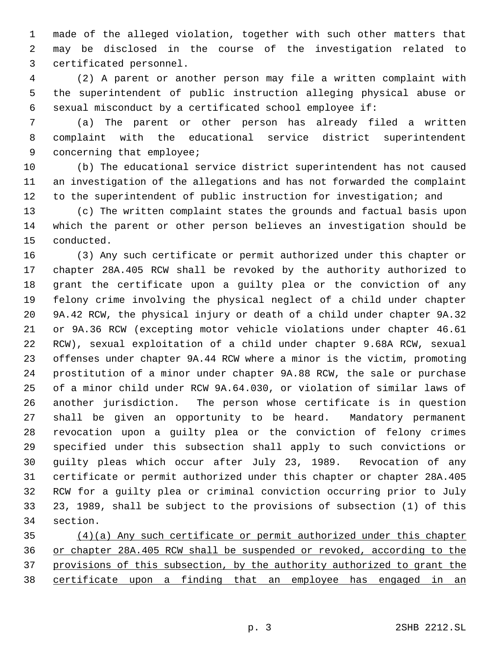made of the alleged violation, together with such other matters that may be disclosed in the course of the investigation related to certificated personnel.

 (2) A parent or another person may file a written complaint with the superintendent of public instruction alleging physical abuse or sexual misconduct by a certificated school employee if:

 (a) The parent or other person has already filed a written complaint with the educational service district superintendent concerning that employee;

 (b) The educational service district superintendent has not caused an investigation of the allegations and has not forwarded the complaint to the superintendent of public instruction for investigation; and

 (c) The written complaint states the grounds and factual basis upon which the parent or other person believes an investigation should be conducted.

 (3) Any such certificate or permit authorized under this chapter or chapter 28A.405 RCW shall be revoked by the authority authorized to grant the certificate upon a guilty plea or the conviction of any felony crime involving the physical neglect of a child under chapter 9A.42 RCW, the physical injury or death of a child under chapter 9A.32 or 9A.36 RCW (excepting motor vehicle violations under chapter 46.61 RCW), sexual exploitation of a child under chapter 9.68A RCW, sexual offenses under chapter 9A.44 RCW where a minor is the victim, promoting prostitution of a minor under chapter 9A.88 RCW, the sale or purchase of a minor child under RCW 9A.64.030, or violation of similar laws of another jurisdiction. The person whose certificate is in question shall be given an opportunity to be heard. Mandatory permanent revocation upon a guilty plea or the conviction of felony crimes specified under this subsection shall apply to such convictions or guilty pleas which occur after July 23, 1989. Revocation of any certificate or permit authorized under this chapter or chapter 28A.405 RCW for a guilty plea or criminal conviction occurring prior to July 23, 1989, shall be subject to the provisions of subsection (1) of this section.

 (4)(a) Any such certificate or permit authorized under this chapter or chapter 28A.405 RCW shall be suspended or revoked, according to the provisions of this subsection, by the authority authorized to grant the certificate upon a finding that an employee has engaged in an